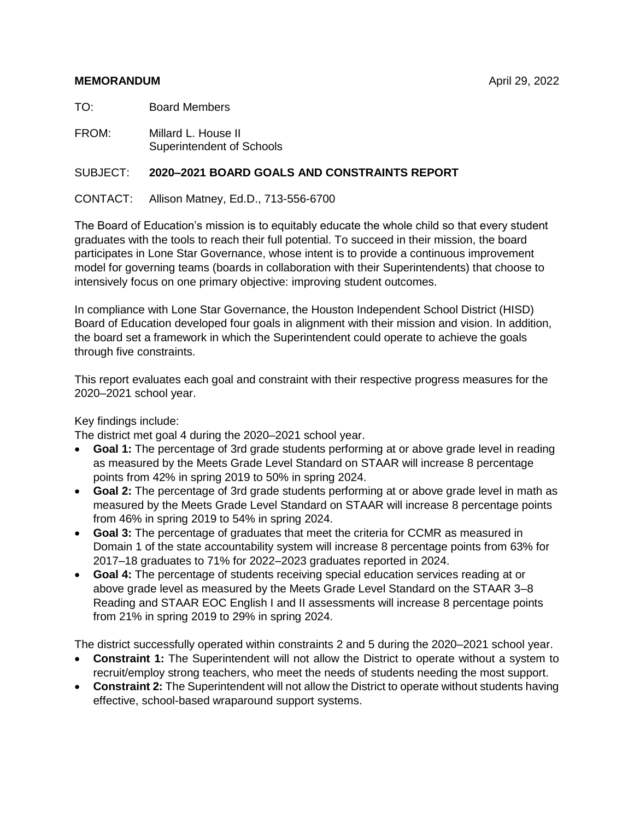### **MEMORANDUM** April 29, 2022

TO: Board Members

FROM: Millard L. House II Superintendent of Schools

# SUBJECT: **2020–2021 BOARD GOALS AND CONSTRAINTS REPORT**

CONTACT: Allison Matney, Ed.D., 713-556-6700

The Board of Education's mission is to equitably educate the whole child so that every student graduates with the tools to reach their full potential. To succeed in their mission, the board participates in Lone Star Governance, whose intent is to provide a continuous improvement model for governing teams (boards in collaboration with their Superintendents) that choose to intensively focus on one primary objective: improving student outcomes.

In compliance with Lone Star Governance, the Houston Independent School District (HISD) Board of Education developed four goals in alignment with their mission and vision. In addition, the board set a framework in which the Superintendent could operate to achieve the goals through five constraints.

This report evaluates each goal and constraint with their respective progress measures for the 2020–2021 school year.

# Key findings include:

The district met goal 4 during the 2020–2021 school year.

- **Goal 1:** The percentage of 3rd grade students performing at or above grade level in reading as measured by the Meets Grade Level Standard on STAAR will increase 8 percentage points from 42% in spring 2019 to 50% in spring 2024.
- **Goal 2:** The percentage of 3rd grade students performing at or above grade level in math as measured by the Meets Grade Level Standard on STAAR will increase 8 percentage points from 46% in spring 2019 to 54% in spring 2024.
- **Goal 3:** The percentage of graduates that meet the criteria for CCMR as measured in Domain 1 of the state accountability system will increase 8 percentage points from 63% for 2017–18 graduates to 71% for 2022–2023 graduates reported in 2024.
- **Goal 4:** The percentage of students receiving special education services reading at or above grade level as measured by the Meets Grade Level Standard on the STAAR 3–8 Reading and STAAR EOC English I and II assessments will increase 8 percentage points from 21% in spring 2019 to 29% in spring 2024.

The district successfully operated within constraints 2 and 5 during the 2020–2021 school year.

- **Constraint 1:** The Superintendent will not allow the District to operate without a system to recruit/employ strong teachers, who meet the needs of students needing the most support.
- **Constraint 2:** The Superintendent will not allow the District to operate without students having effective, school-based wraparound support systems.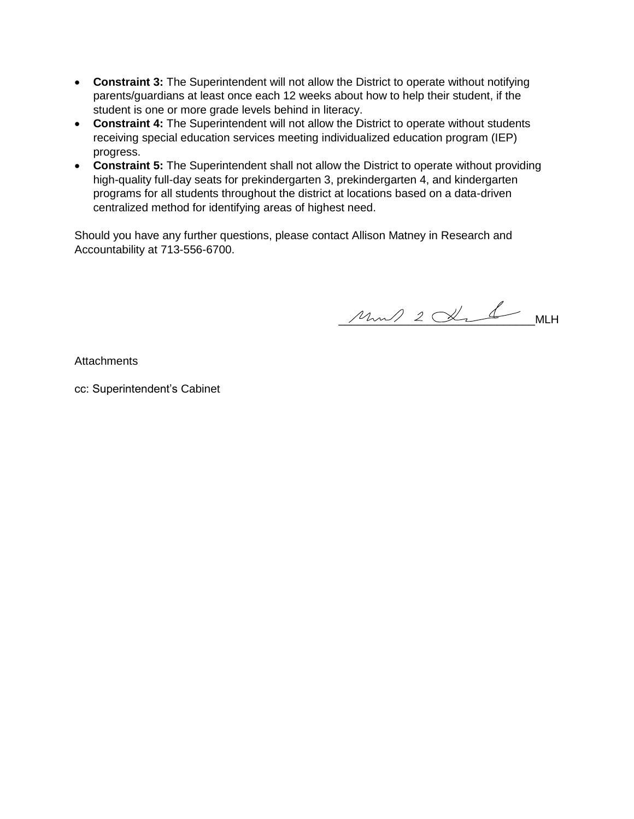- **Constraint 3:** The Superintendent will not allow the District to operate without notifying parents/guardians at least once each 12 weeks about how to help their student, if the student is one or more grade levels behind in literacy.
- **Constraint 4:** The Superintendent will not allow the District to operate without students receiving special education services meeting individualized education program (IEP) progress.
- **Constraint 5:** The Superintendent shall not allow the District to operate without providing high-quality full-day seats for prekindergarten 3, prekindergarten 4, and kindergarten programs for all students throughout the district at locations based on a data-driven centralized method for identifying areas of highest need.

Should you have any further questions, please contact Allison Matney in Research and Accountability at 713-556-6700.

 $\mu_{\mu\nu}/2 \propto 1$  MLH

**Attachments** 

cc: Superintendent's Cabinet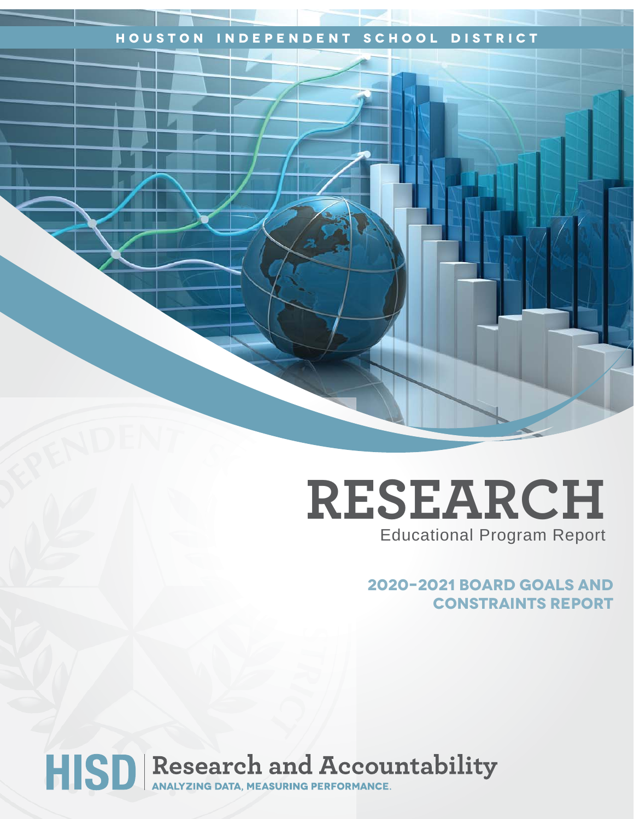# **Houston Independent School District**

# **RESEARCH** Educational Program Report

**2020–2021 Board Goals and Constraints Report**

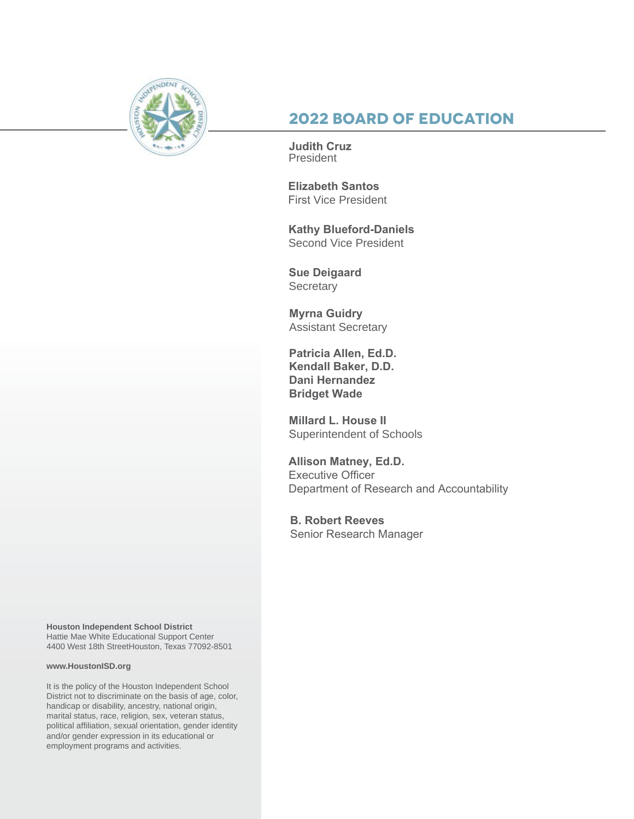

# **2022 Board of Education**

**Judith Cruz** President

**Elizabeth Santos**  First Vice President

**Kathy Blueford-Daniels**  Second Vice President

**Sue Deigaard Secretary** 

**Myrna Guidry** Assistant Secretary

**Patricia Allen, Ed.D. Kendall Baker, D.D. Dani Hernandez Bridget Wade**

**Millard L. House II** Superintendent of Schools

**Allison Matney, Ed.D.** Executive Officer Department of Research and Accountability

**B. Robert Reeves** Senior Research Manager

**Houston Independent School District** Hattie Mae White Educational Support Center 4400 West 18th StreetHouston, Texas 77092-8501

#### **www.HoustonISD.org**

It is the policy of the Houston Independent School District not to discriminate on the basis of age, color, handicap or disability, ancestry, national origin, marital status, race, religion, sex, veteran status, political affiliation, sexual orientation, gender identity and/or gender expression in its educational or employment programs and activities.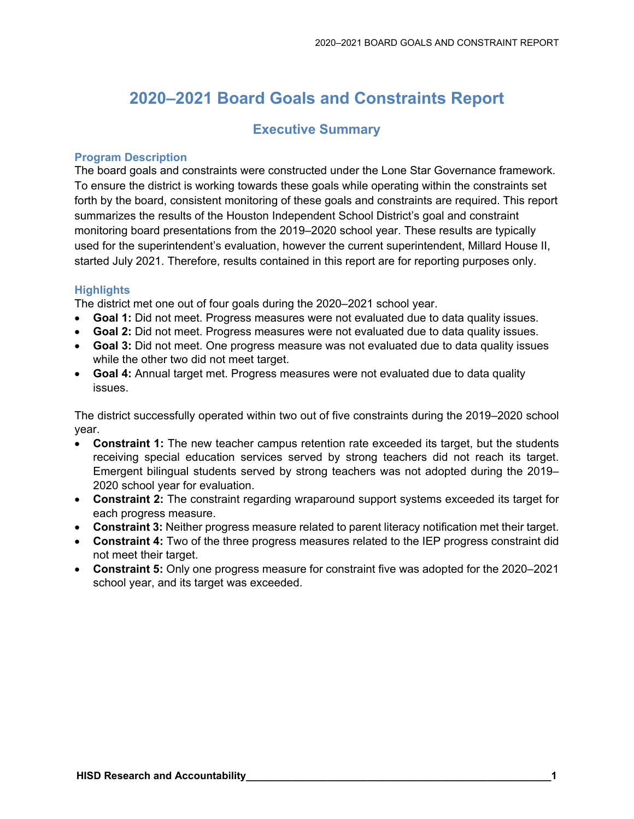# **2020–2021 Board Goals and Constraints Report**

# **Executive Summary**

### **Program Description**

The board goals and constraints were constructed under the Lone Star Governance framework. To ensure the district is working towards these goals while operating within the constraints set forth by the board, consistent monitoring of these goals and constraints are required. This report summarizes the results of the Houston Independent School District's goal and constraint monitoring board presentations from the 2019–2020 school year. These results are typically used for the superintendent's evaluation, however the current superintendent, Millard House II, started July 2021. Therefore, results contained in this report are for reporting purposes only.

# **Highlights**

The district met one out of four goals during the 2020–2021 school year.

- **Goal 1:** Did not meet. Progress measures were not evaluated due to data quality issues.
- **Goal 2:** Did not meet. Progress measures were not evaluated due to data quality issues.
- **Goal 3:** Did not meet. One progress measure was not evaluated due to data quality issues while the other two did not meet target.
- **Goal 4:** Annual target met. Progress measures were not evaluated due to data quality issues.

The district successfully operated within two out of five constraints during the 2019–2020 school year.

- **Constraint 1:** The new teacher campus retention rate exceeded its target, but the students receiving special education services served by strong teachers did not reach its target. Emergent bilingual students served by strong teachers was not adopted during the 2019– 2020 school year for evaluation.
- **Constraint 2:** The constraint regarding wraparound support systems exceeded its target for each progress measure.
- **Constraint 3:** Neither progress measure related to parent literacy notification met their target.
- **Constraint 4:** Two of the three progress measures related to the IEP progress constraint did not meet their target.
- **Constraint 5:** Only one progress measure for constraint five was adopted for the 2020–2021 school year, and its target was exceeded.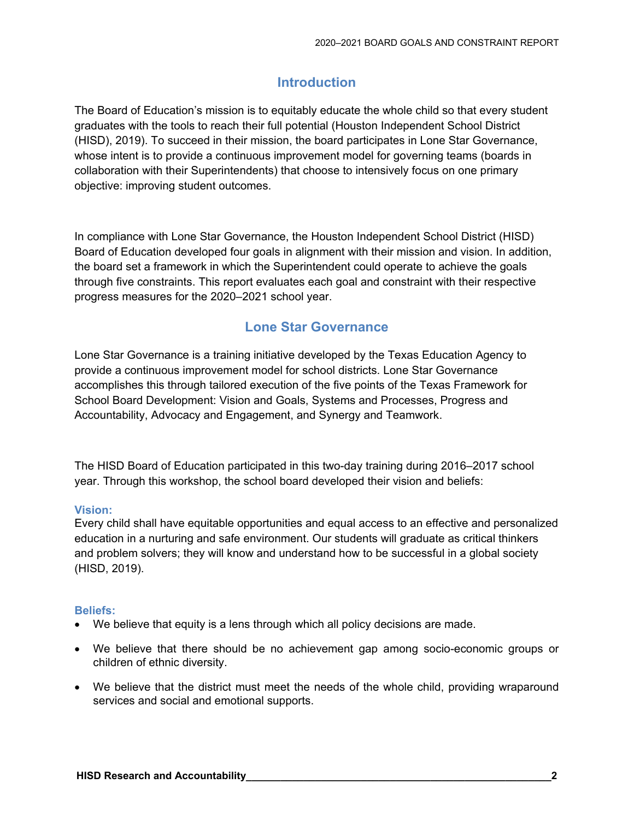# **Introduction**

The Board of Education's mission is to equitably educate the whole child so that every student graduates with the tools to reach their full potential (Houston Independent School District (HISD), 2019). To succeed in their mission, the board participates in Lone Star Governance, whose intent is to provide a continuous improvement model for governing teams (boards in collaboration with their Superintendents) that choose to intensively focus on one primary objective: improving student outcomes.

In compliance with Lone Star Governance, the Houston Independent School District (HISD) Board of Education developed four goals in alignment with their mission and vision. In addition, the board set a framework in which the Superintendent could operate to achieve the goals through five constraints. This report evaluates each goal and constraint with their respective progress measures for the 2020–2021 school year.

# **Lone Star Governance**

Lone Star Governance is a training initiative developed by the Texas Education Agency to provide a continuous improvement model for school districts. Lone Star Governance accomplishes this through tailored execution of the five points of the Texas Framework for School Board Development: Vision and Goals, Systems and Processes, Progress and Accountability, Advocacy and Engagement, and Synergy and Teamwork.

The HISD Board of Education participated in this two-day training during 2016–2017 school year. Through this workshop, the school board developed their vision and beliefs:

# **Vision:**

Every child shall have equitable opportunities and equal access to an effective and personalized education in a nurturing and safe environment. Our students will graduate as critical thinkers and problem solvers; they will know and understand how to be successful in a global society (HISD, 2019).

# **Beliefs:**

- We believe that equity is a lens through which all policy decisions are made.
- We believe that there should be no achievement gap among socio-economic groups or children of ethnic diversity.
- We believe that the district must meet the needs of the whole child, providing wraparound services and social and emotional supports.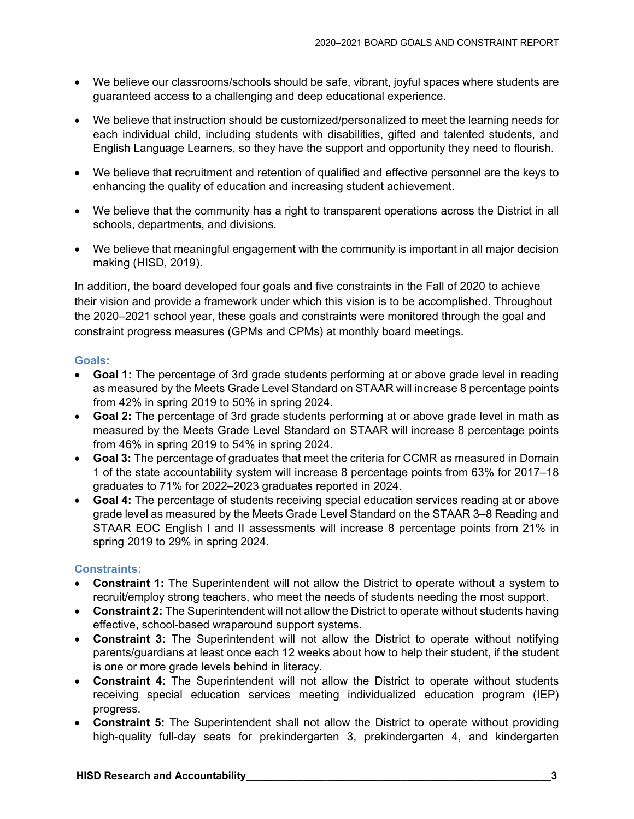- We believe our classrooms/schools should be safe, vibrant, joyful spaces where students are guaranteed access to a challenging and deep educational experience.
- We believe that instruction should be customized/personalized to meet the learning needs for each individual child, including students with disabilities, gifted and talented students, and English Language Learners, so they have the support and opportunity they need to flourish.
- We believe that recruitment and retention of qualified and effective personnel are the keys to enhancing the quality of education and increasing student achievement.
- We believe that the community has a right to transparent operations across the District in all schools, departments, and divisions.
- We believe that meaningful engagement with the community is important in all major decision making (HISD, 2019).

In addition, the board developed four goals and five constraints in the Fall of 2020 to achieve their vision and provide a framework under which this vision is to be accomplished. Throughout the 2020–2021 school year, these goals and constraints were monitored through the goal and constraint progress measures (GPMs and CPMs) at monthly board meetings.

# **Goals:**

- **Goal 1:** The percentage of 3rd grade students performing at or above grade level in reading as measured by the Meets Grade Level Standard on STAAR will increase 8 percentage points from 42% in spring 2019 to 50% in spring 2024.
- **Goal 2:** The percentage of 3rd grade students performing at or above grade level in math as measured by the Meets Grade Level Standard on STAAR will increase 8 percentage points from 46% in spring 2019 to 54% in spring 2024.
- **Goal 3:** The percentage of graduates that meet the criteria for CCMR as measured in Domain 1 of the state accountability system will increase 8 percentage points from 63% for 2017–18 graduates to 71% for 2022–2023 graduates reported in 2024.
- **Goal 4:** The percentage of students receiving special education services reading at or above grade level as measured by the Meets Grade Level Standard on the STAAR 3–8 Reading and STAAR EOC English I and II assessments will increase 8 percentage points from 21% in spring 2019 to 29% in spring 2024.

# **Constraints:**

- **Constraint 1:** The Superintendent will not allow the District to operate without a system to recruit/employ strong teachers, who meet the needs of students needing the most support.
- **Constraint 2:** The Superintendent will not allow the District to operate without students having effective, school-based wraparound support systems.
- **Constraint 3:** The Superintendent will not allow the District to operate without notifying parents/guardians at least once each 12 weeks about how to help their student, if the student is one or more grade levels behind in literacy.
- **Constraint 4:** The Superintendent will not allow the District to operate without students receiving special education services meeting individualized education program (IEP) progress.
- **Constraint 5:** The Superintendent shall not allow the District to operate without providing high-quality full-day seats for prekindergarten 3, prekindergarten 4, and kindergarten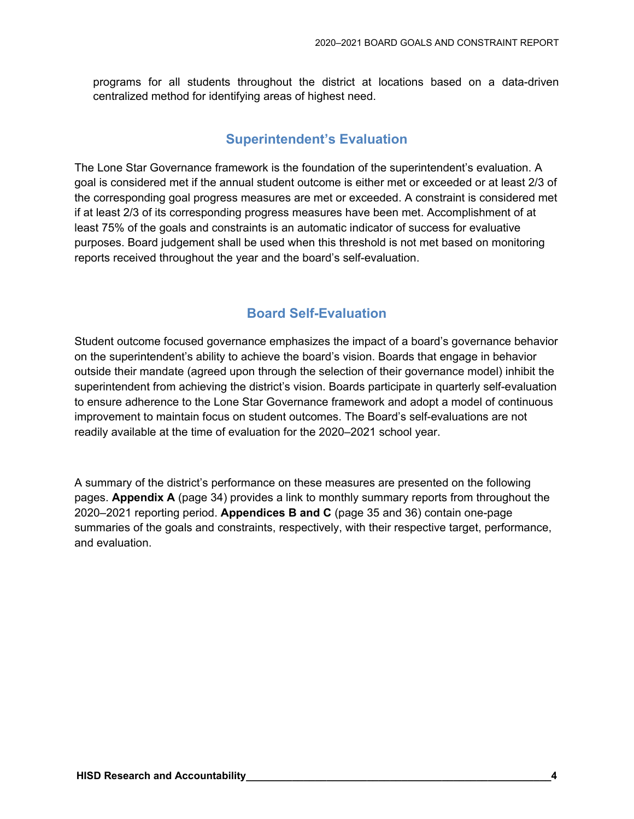programs for all students throughout the district at locations based on a data-driven centralized method for identifying areas of highest need.

# **Superintendent's Evaluation**

The Lone Star Governance framework is the foundation of the superintendent's evaluation. A goal is considered met if the annual student outcome is either met or exceeded or at least 2/3 of the corresponding goal progress measures are met or exceeded. A constraint is considered met if at least 2/3 of its corresponding progress measures have been met. Accomplishment of at least 75% of the goals and constraints is an automatic indicator of success for evaluative purposes. Board judgement shall be used when this threshold is not met based on monitoring reports received throughout the year and the board's self-evaluation.

# **Board Self-Evaluation**

Student outcome focused governance emphasizes the impact of a board's governance behavior on the superintendent's ability to achieve the board's vision. Boards that engage in behavior outside their mandate (agreed upon through the selection of their governance model) inhibit the superintendent from achieving the district's vision. Boards participate in quarterly self-evaluation to ensure adherence to the Lone Star Governance framework and adopt a model of continuous improvement to maintain focus on student outcomes. The Board's self-evaluations are not readily available at the time of evaluation for the 2020–2021 school year.

A summary of the district's performance on these measures are presented on the following pages. **Appendix A** (page 34) provides a link to monthly summary reports from throughout the 2020–2021 reporting period. **Appendices B and C** (page 35 and 36) contain one-page summaries of the goals and constraints, respectively, with their respective target, performance, and evaluation.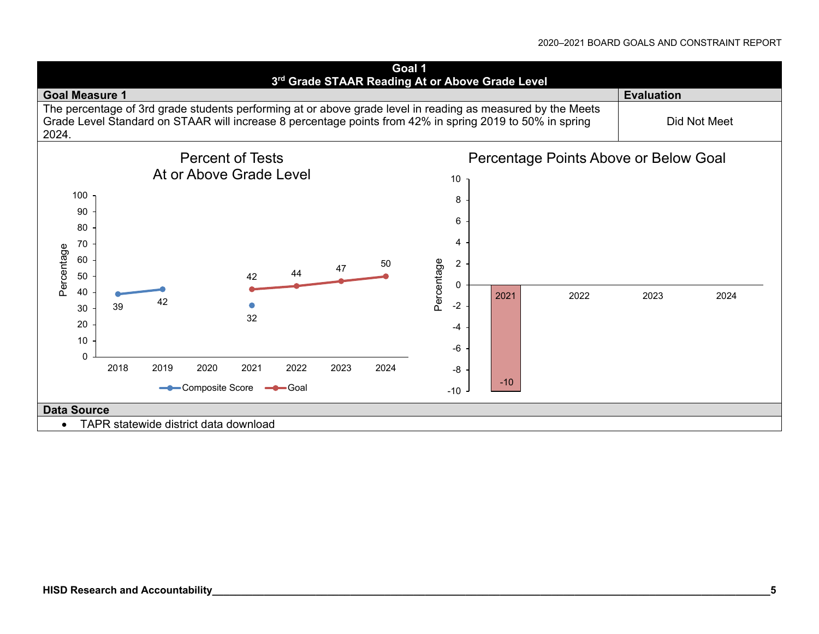#### 2020–2021 BOARD GOALS AND CONSTRAINT REPORT

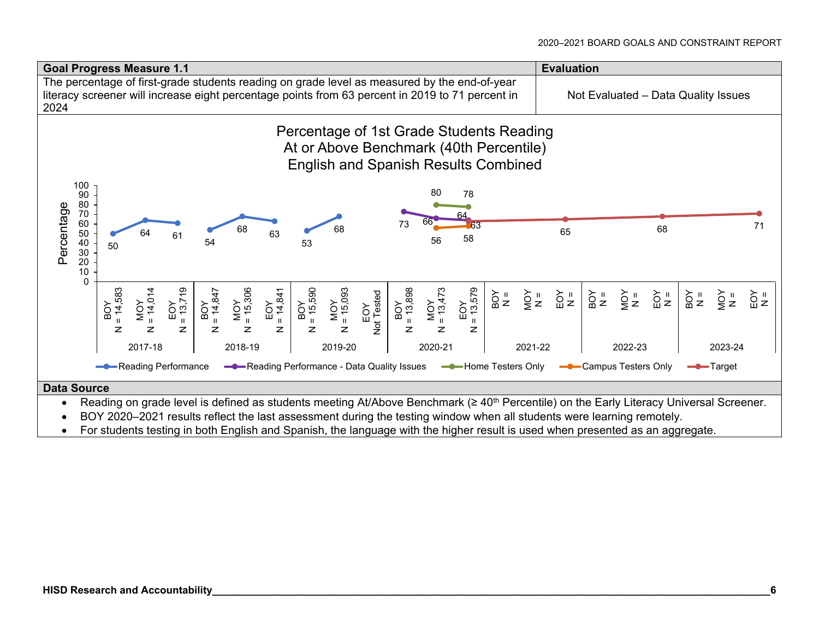

- Reading on grade level is defined as students meeting At/Above Benchmark (≥ 40<sup>th</sup> Percentile) on the Early Literacy Universal Screener.
- BOY 2020–2021 results reflect the last assessment during the testing window when all students were learning remotely.
- For students testing in both English and Spanish, the language with the higher result is used when presented as an aggregate.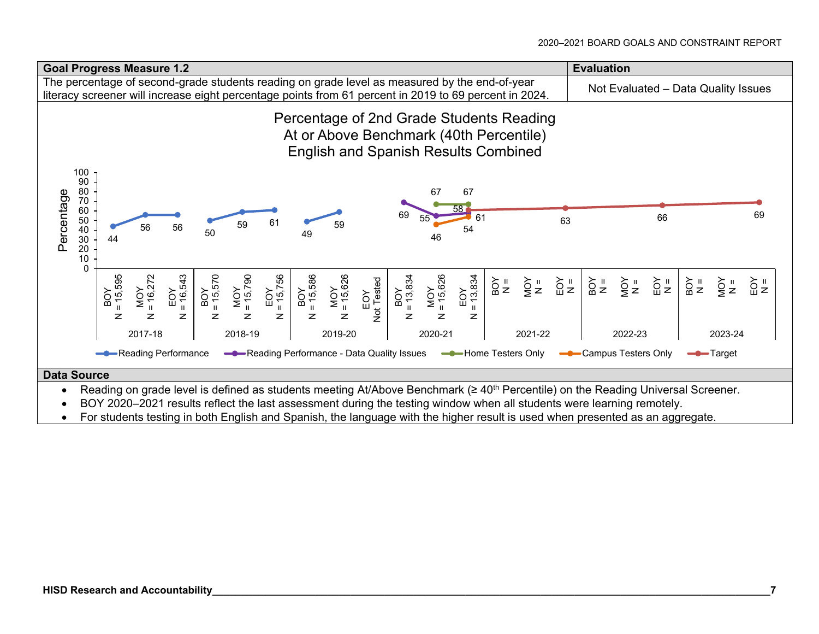

For students testing in both English and Spanish, the language with the higher result is used when presented as an aggregate.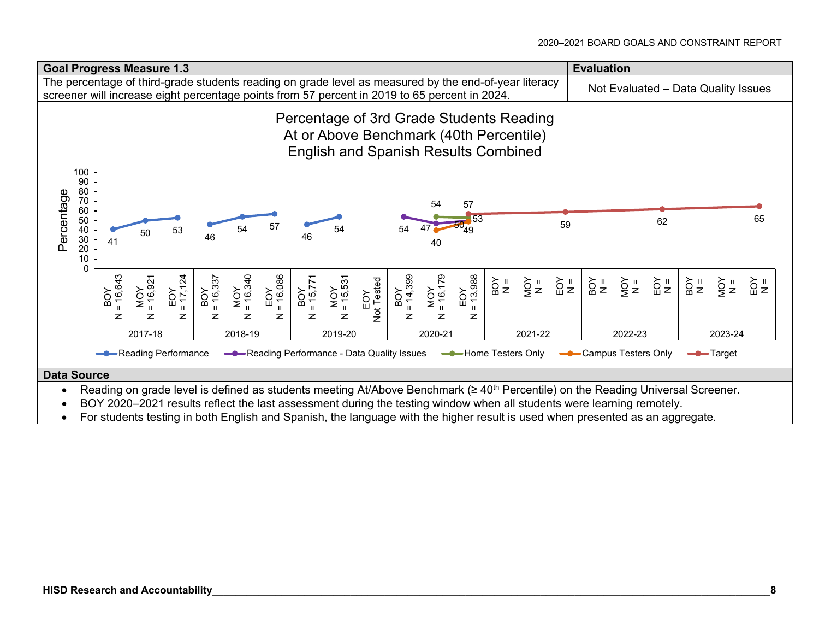

- 
- For students testing in both English and Spanish, the language with the higher result is used when presented as an aggregate.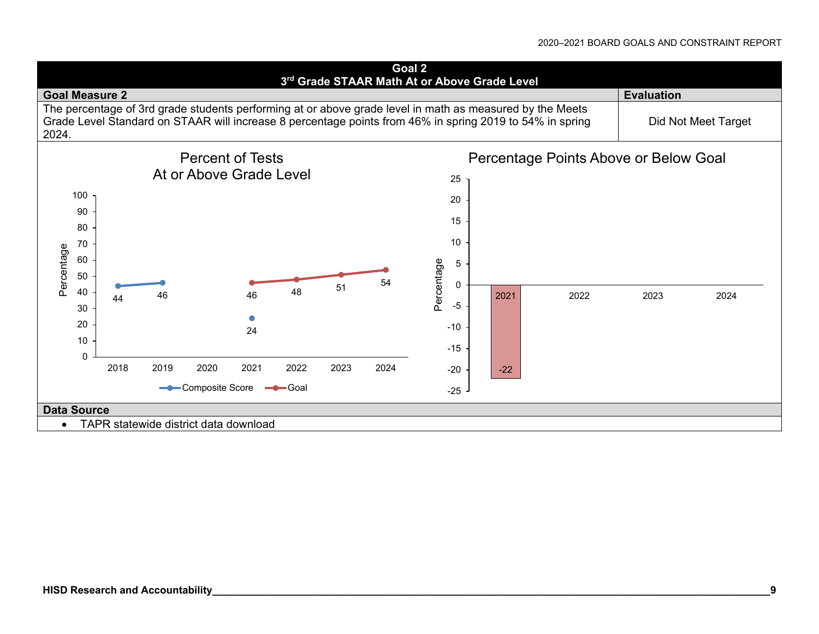#### 2020–2021 BOARD GOALS AND CONSTRAINT REPORT

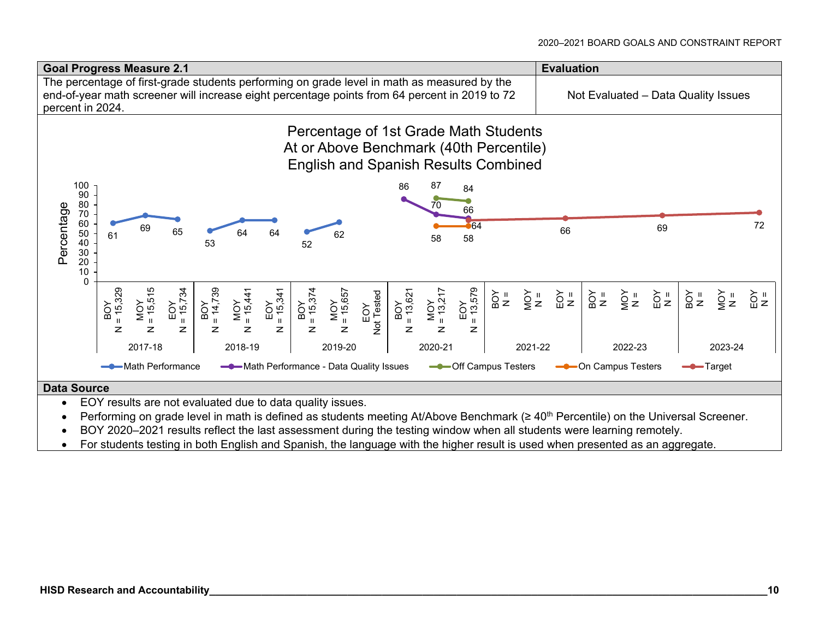

### **Data Source**

- EOY results are not evaluated due to data quality issues.
- Performing on grade level in math is defined as students meeting At/Above Benchmark (≥ 40<sup>th</sup> Percentile) on the Universal Screener.
- BOY 2020–2021 results reflect the last assessment during the testing window when all students were learning remotely.
- For students testing in both English and Spanish, the language with the higher result is used when presented as an aggregate.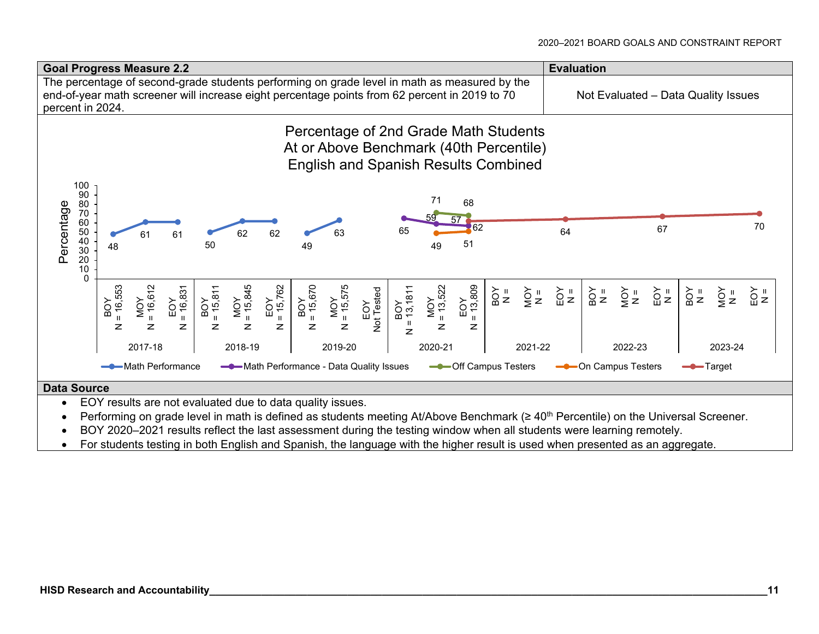

### **Data Source**

- EOY results are not evaluated due to data quality issues.
- Performing on grade level in math is defined as students meeting At/Above Benchmark (≥ 40<sup>th</sup> Percentile) on the Universal Screener.
- BOY 2020–2021 results reflect the last assessment during the testing window when all students were learning remotely.
- For students testing in both English and Spanish, the language with the higher result is used when presented as an aggregate.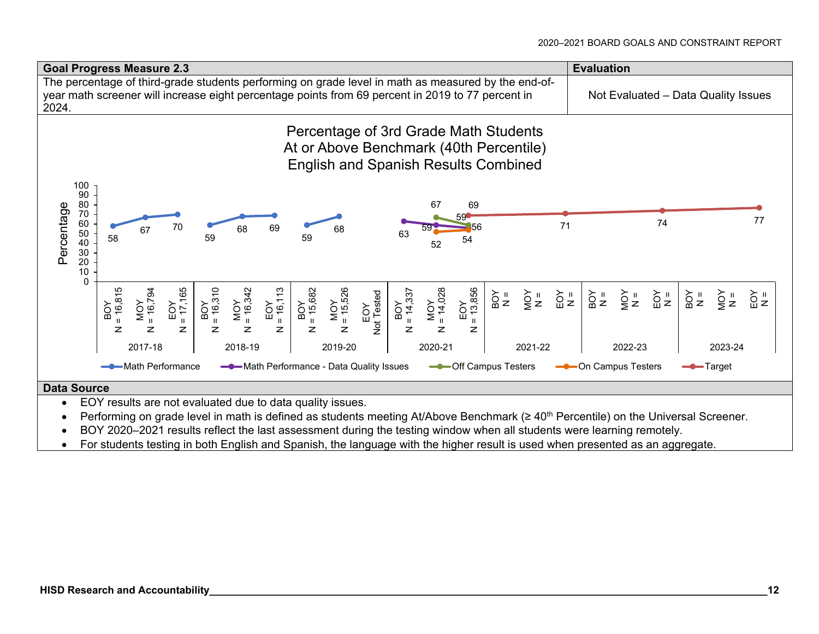

## **Data Source**

- EOY results are not evaluated due to data quality issues.
- Performing on grade level in math is defined as students meeting At/Above Benchmark (≥ 40<sup>th</sup> Percentile) on the Universal Screener.
- BOY 2020–2021 results reflect the last assessment during the testing window when all students were learning remotely.
- For students testing in both English and Spanish, the language with the higher result is used when presented as an aggregate.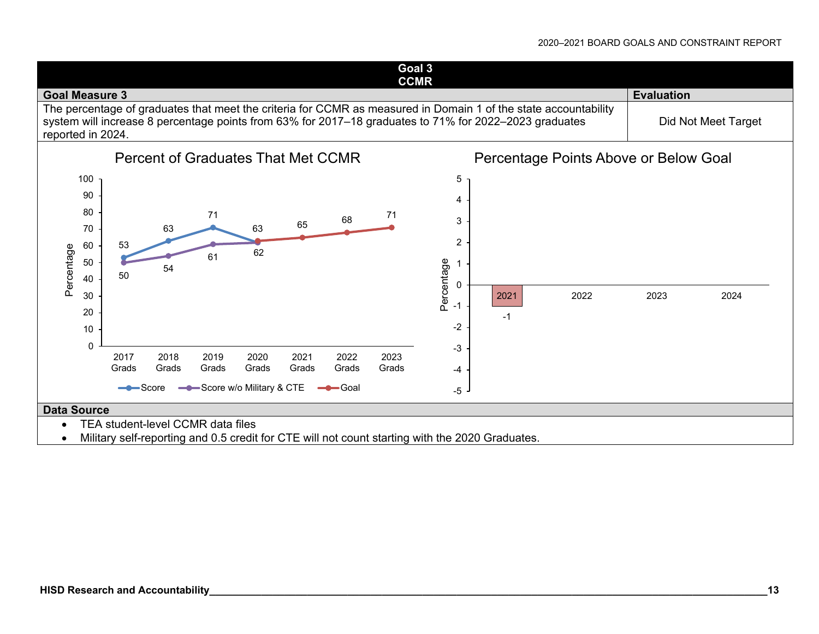## 2020–2021 BOARD GOALS AND CONSTRAINT REPORT

**Goal 3 CCMR Goal Measure 3 Evaluation**  The percentage of graduates that meet the criteria for CCMR as measured in Domain 1 of the state accountability system will increase 8 percentage points from 63% for 2017–18 graduates to 71% for 2022–2023 graduates reported in 2024. Did Not Meet Target



Military self-reporting and 0.5 credit for CTE will not count starting with the 2020 Graduates.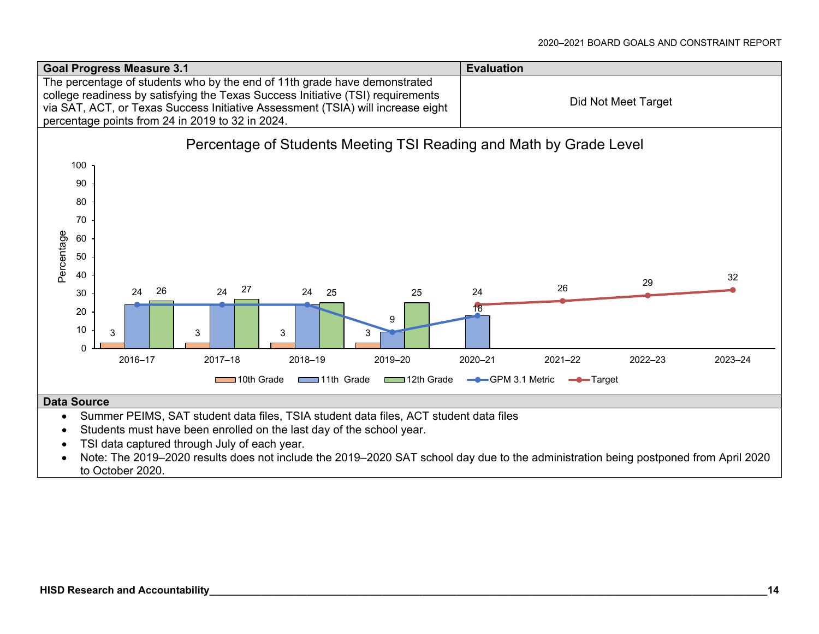

- TSI data captured through July of each year.
- Note: The 2019–2020 results does not include the 2019–2020 SAT school day due to the administration being postponed from April 2020 to October 2020.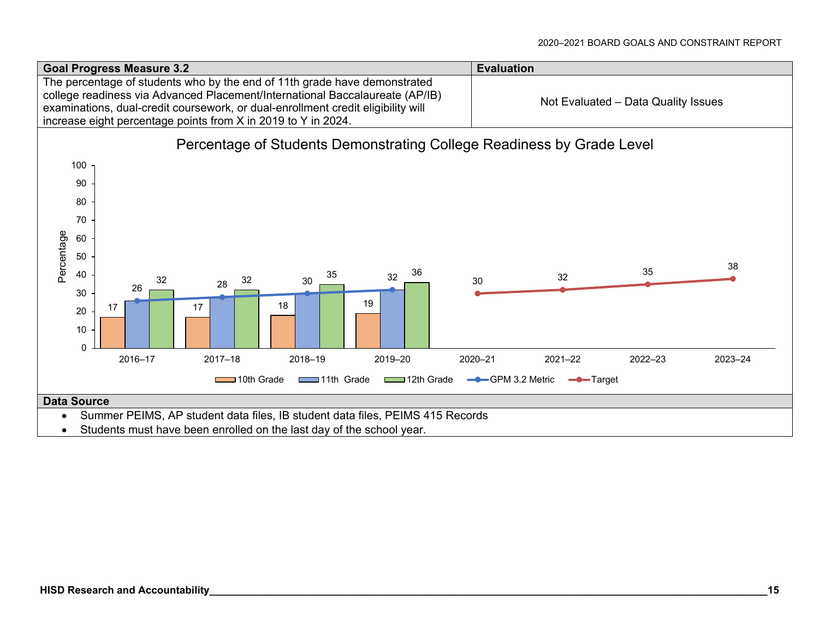

Students must have been enrolled on the last day of the school year.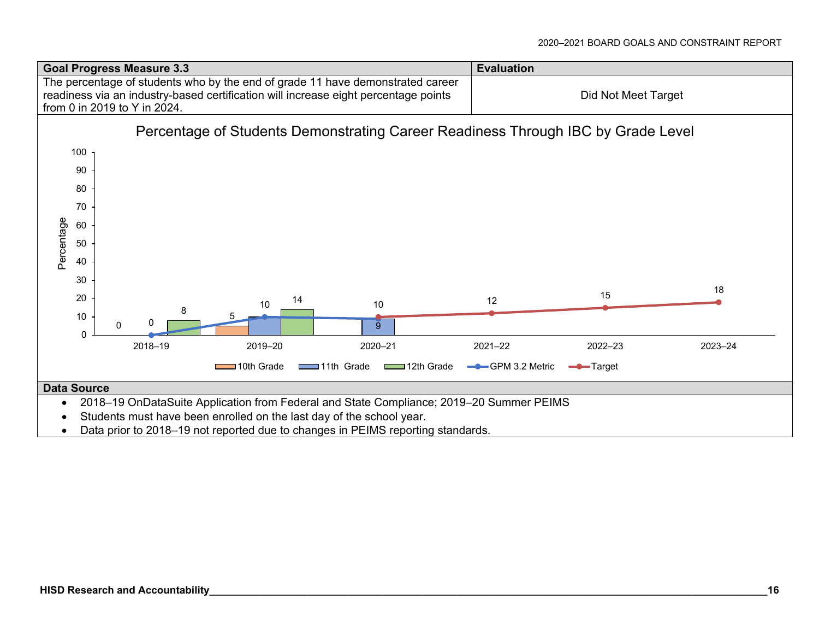

Data prior to 2018–19 not reported due to changes in PEIMS reporting standards.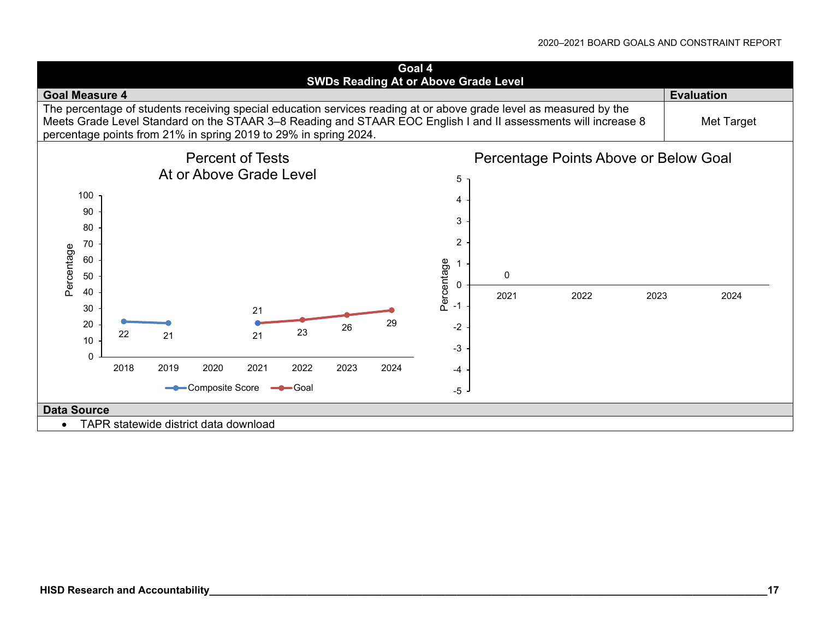#### 2020–2021 BOARD GOALS AND CONSTRAINT REPORT

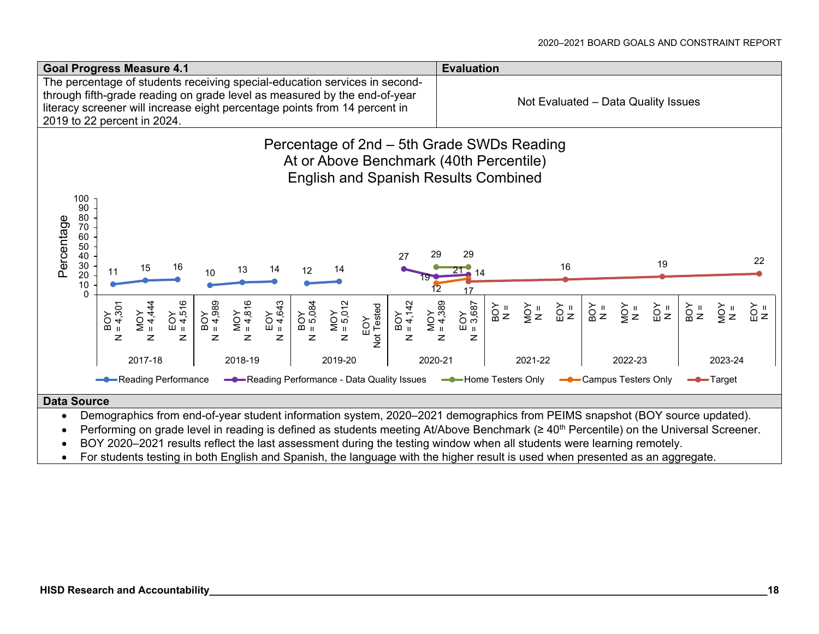

- Demographics from end-of-year student information system, 2020–2021 demographics from PEIMS snapshot (BOY source updated).
- Performing on grade level in reading is defined as students meeting At/Above Benchmark (≥ 40<sup>th</sup> Percentile) on the Universal Screener.
- BOY 2020–2021 results reflect the last assessment during the testing window when all students were learning remotely.
- For students testing in both English and Spanish, the language with the higher result is used when presented as an aggregate.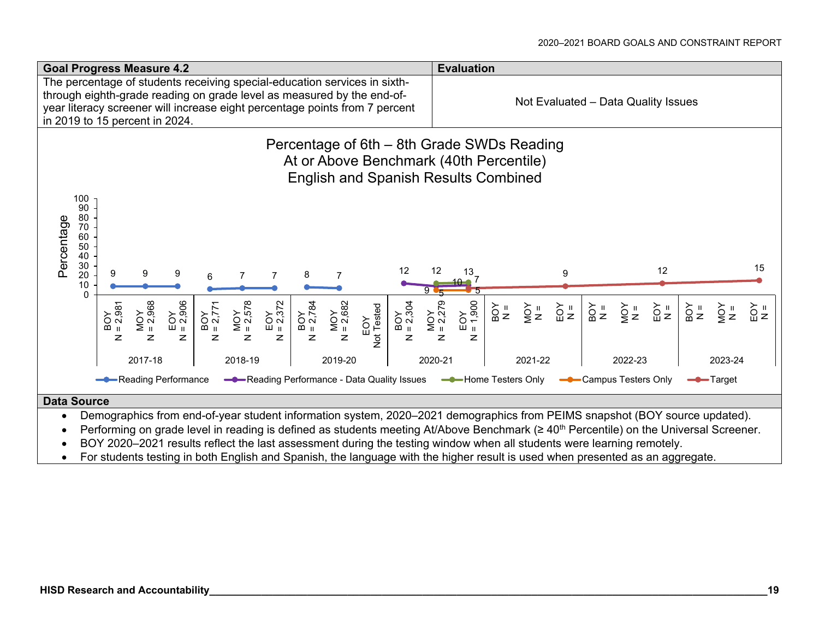

- Demographics from end-of-year student information system, 2020–2021 demographics from PEIMS snapshot (BOY source updated).
- Performing on grade level in reading is defined as students meeting At/Above Benchmark (≥ 40<sup>th</sup> Percentile) on the Universal Screener.
- BOY 2020–2021 results reflect the last assessment during the testing window when all students were learning remotely.
- For students testing in both English and Spanish, the language with the higher result is used when presented as an aggregate.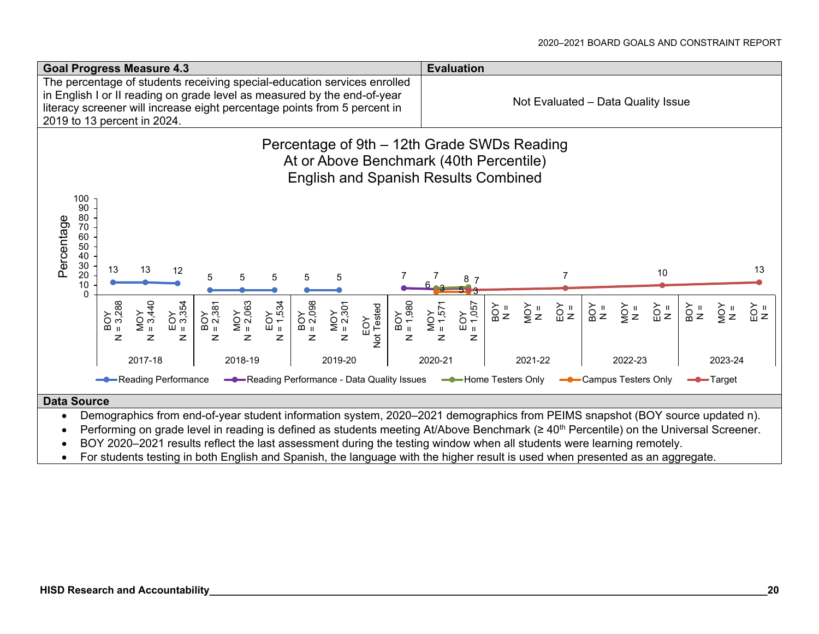

- Demographics from end-of-year student information system, 2020–2021 demographics from PEIMS snapshot (BOY source updated n).
- Performing on grade level in reading is defined as students meeting At/Above Benchmark (≥ 40<sup>th</sup> Percentile) on the Universal Screener.
- BOY 2020–2021 results reflect the last assessment during the testing window when all students were learning remotely.
- For students testing in both English and Spanish, the language with the higher result is used when presented as an aggregate.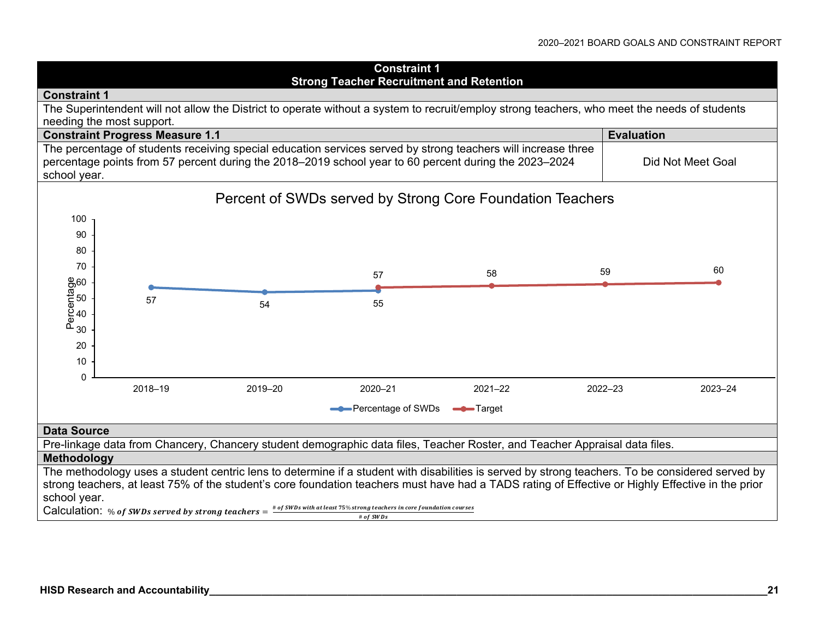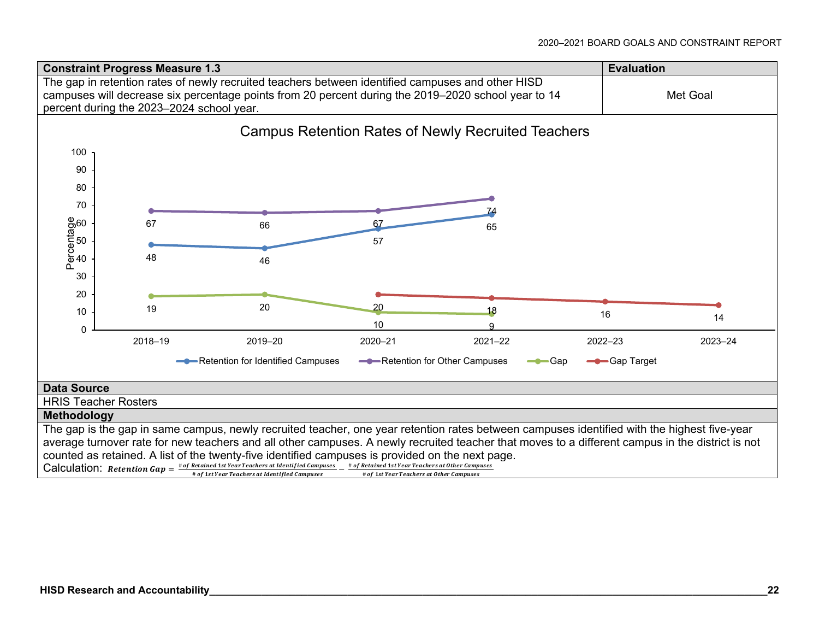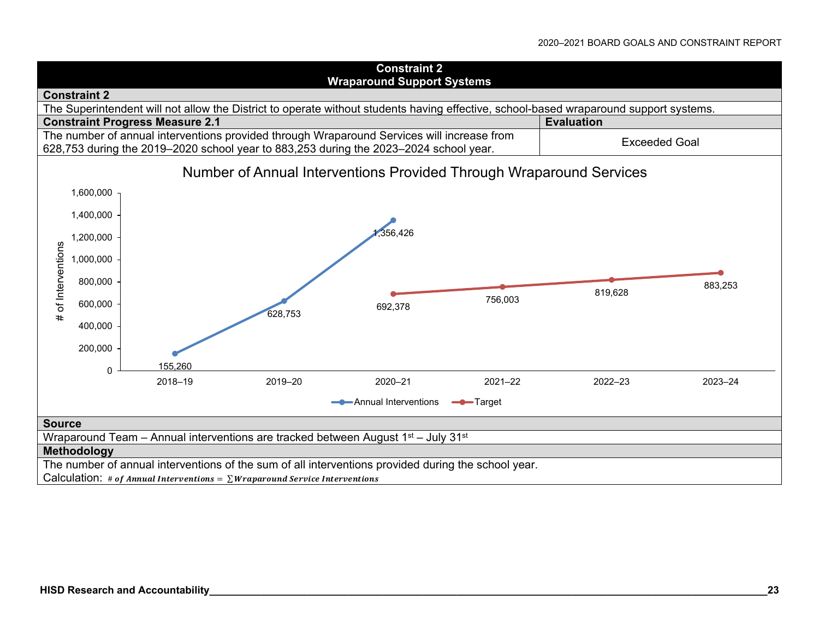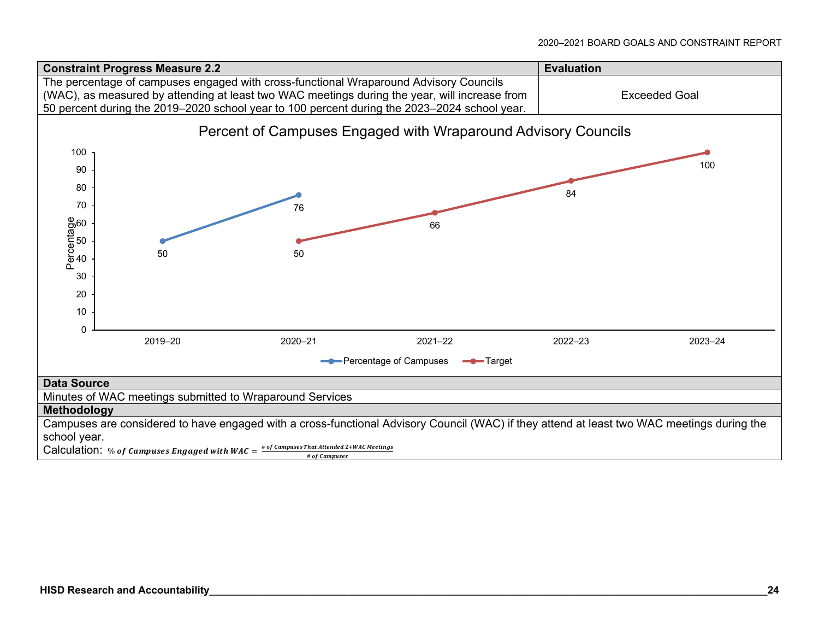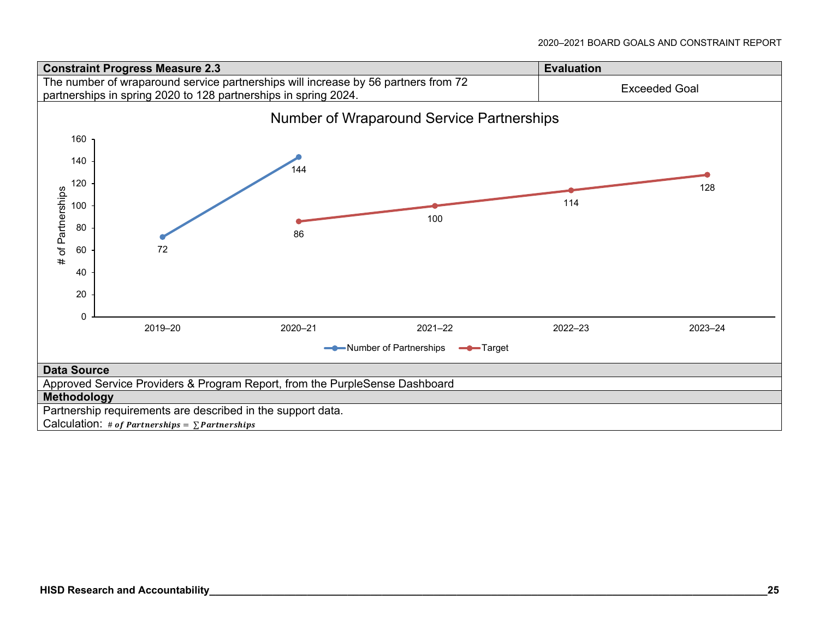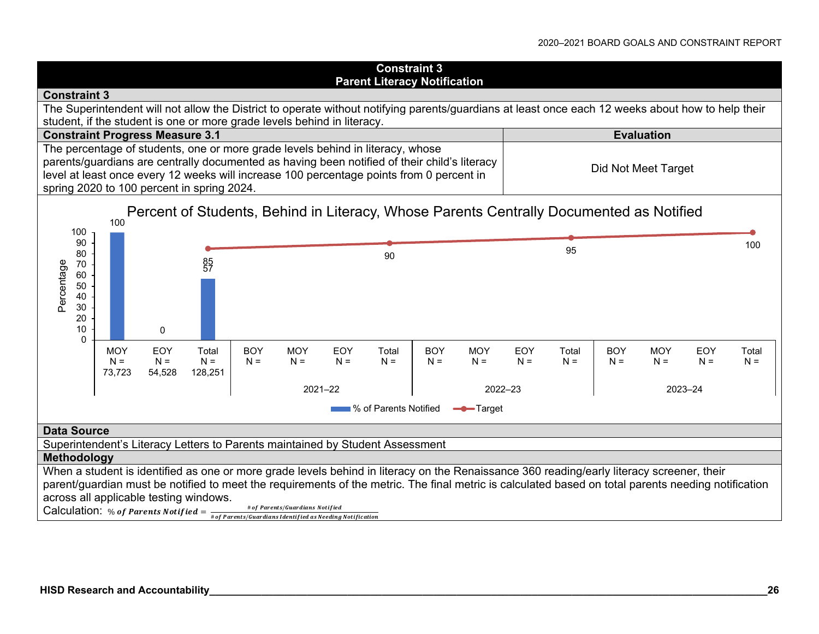#### **Constraint 3 Parent Literacy Notification Constraint 3** The Superintendent will not allow the District to operate without notifying parents/guardians at least once each 12 weeks about how to help their student, if the student is one or more grade levels behind in literacy. **Constraint Progress Measure 3.1 Constraint Progress Measure 3.1** The percentage of students, one or more grade levels behind in literacy, whose parents/guardians are centrally documented as having been notified of their child's literacy Did Not Meet Target level at least once every 12 weeks will increase 100 percentage points from 0 percent in spring 2020 to 100 percent in spring 2024. Percent of Students, Behind in Literacy, Whose Parents Centrally Documented as Notified 10010090<u>90</u> 95 100<br>5 80 85<br>57 Percentage Percentage 70 6050 40 30 20100 $\Omega$ **MOY** EOYTotalBOY**MOY** EOYTotal**BOY** MOYEOYTotalBOY**MOY** EOYTotal $N =$  $N =$  $N =$  $N =$  $N =$  $N =$  $N =$  $N =$  $N =$  $N =$  $N =$  $N =$  $N =$  $N =$  $N =$ 73,723 54,528 128,251 2021–22 2022–23 2023–24**No. 3**% of Parents Notified **Target Data Source** Superintendent's Literacy Letters to Parents maintained by Student Assessment **Methodology** When a student is identified as one or more grade levels behind in literacy on the Renaissance 360 reading/early literacy screener, their parent/guardian must be notified to meet the requirements of the metric. The final metric is calculated based on total parents needing notification across all applicable testing windows. Calculation: % of Parents Notified =  $\frac{1}{\# of$  Parents/Guardians Notified as Needing Notification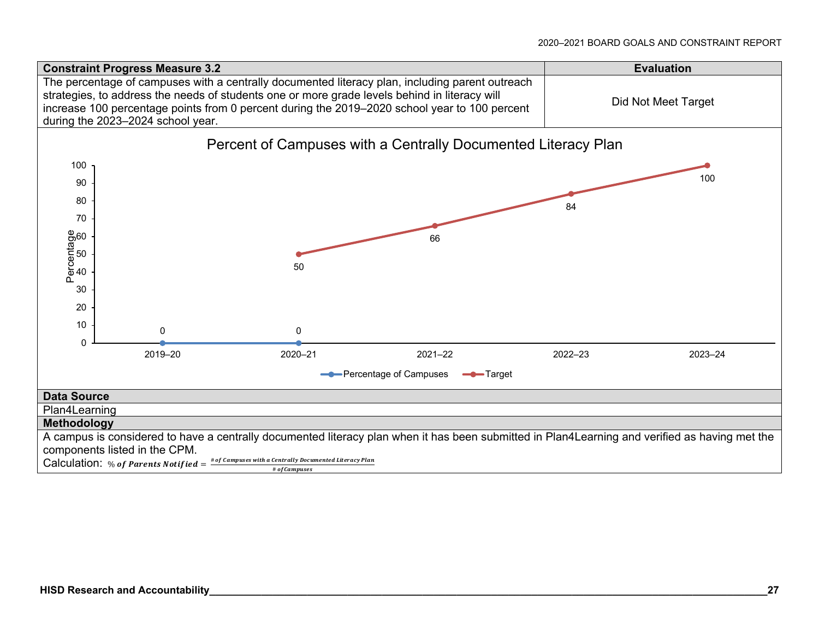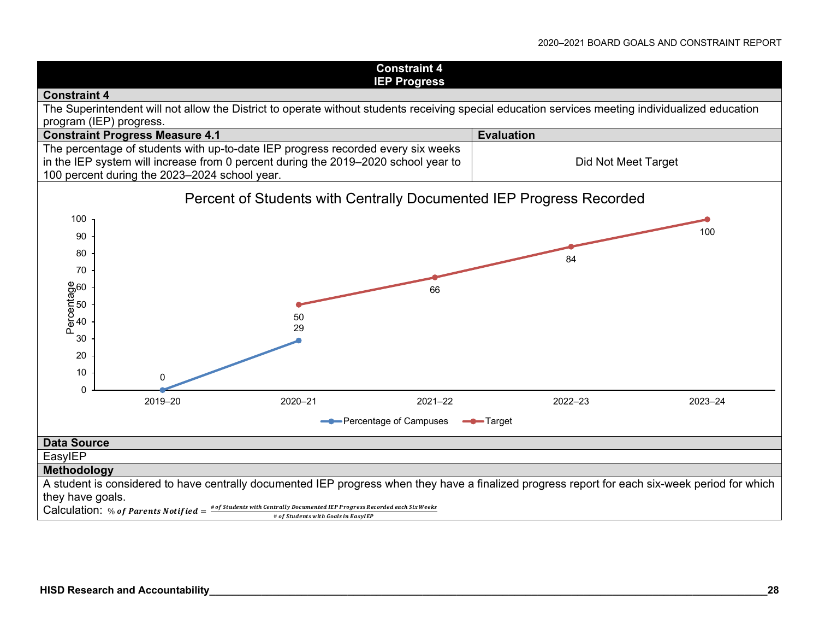#### 2020–2021 BOARD GOALS AND CONSTRAINT REPORT

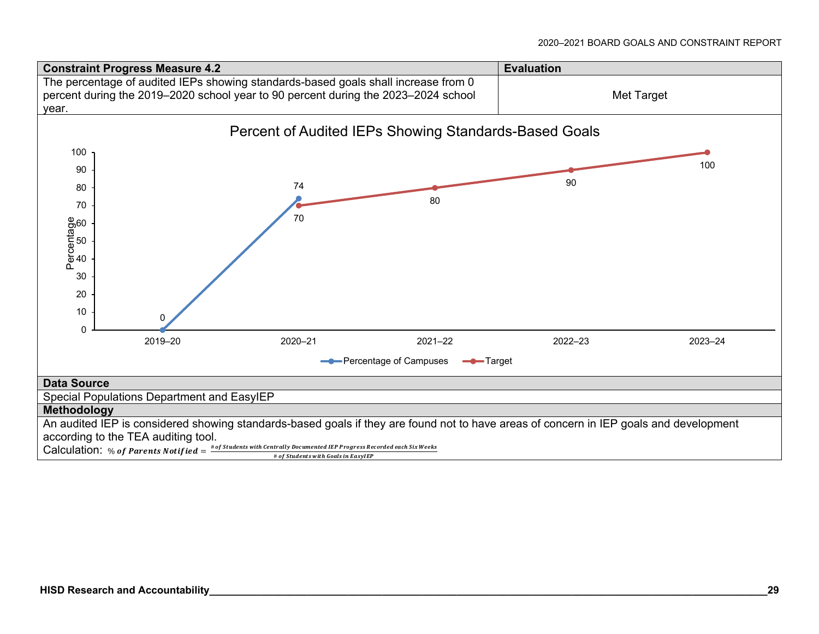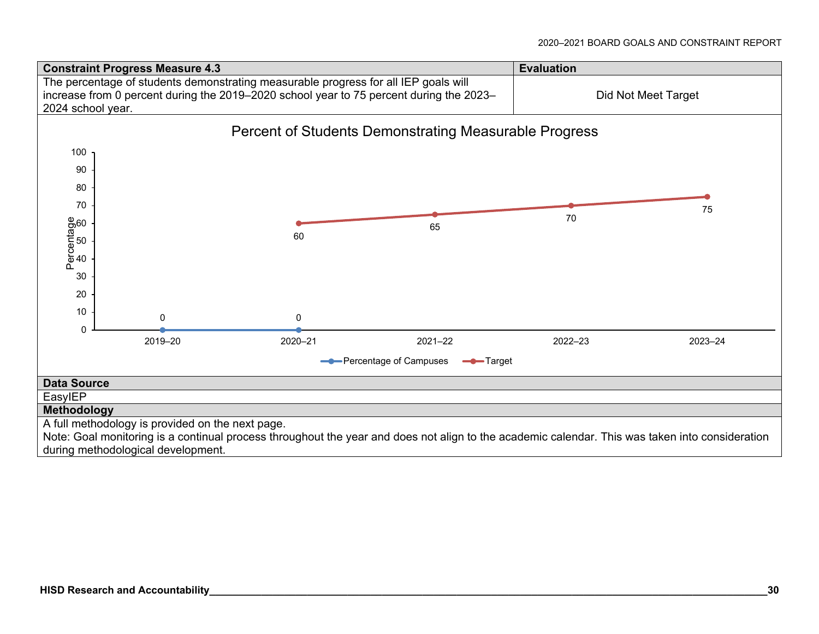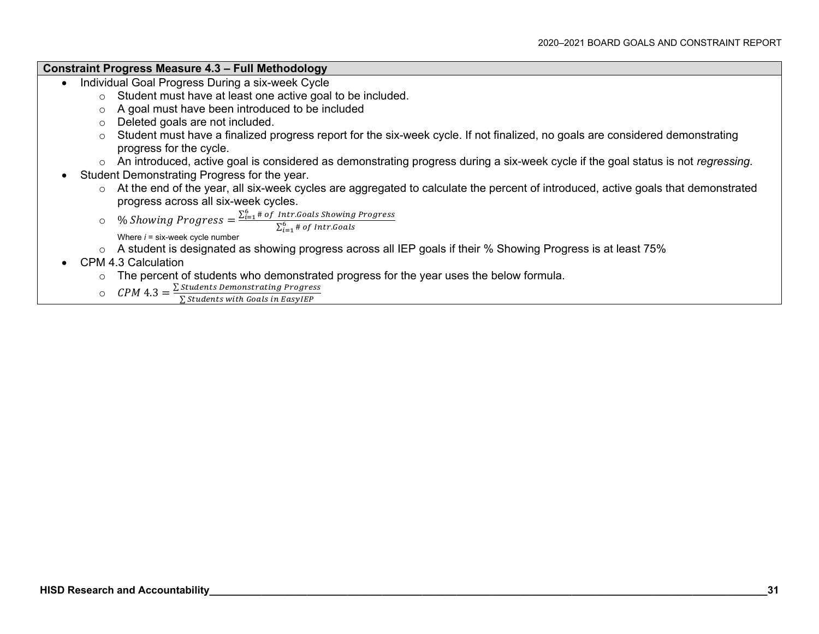### **Constraint Progress Measure 4.3 – Full Methodology**

- Individual Goal Progress During a six-week Cycle
	- <sup>o</sup> Student must have at least one active goal to be included.
	- <sup>o</sup> A goal must have been introduced to be included
	- <sup>o</sup> Deleted goals are not included.
	- <sup>o</sup> Student must have a finalized progress report for the six-week cycle. If not finalized, no goals are considered demonstrating progress for the cycle.
	- <sup>o</sup> An introduced, active goal is considered as demonstrating progress during a six-week cycle if the goal status is not *regressing.*
- Student Demonstrating Progress for the year.
	- <sup>o</sup> At the end of the year, all six-week cycles are aggregated to calculate the percent of introduced, active goals that demonstrated progress across all six-week cycles.
	- o $\circ \quad \%$  Showing Progress  $=\frac{\sum_{i=1}^{6} \# of~Intr. Goals$  Showing Progress

Where *i* = six-week cycle number

- <sup>o</sup> A student is designated as showing progress across all IEP goals if their % Showing Progress is at least 75%
- CPM 4.3 Calculation
	- <sup>o</sup> The percent of students who demonstrated progress for the year uses the below formula.
		-

 $\hbox{CPM 4.3} = \frac{\Sigma\, \hbox{Students Demonstrating Progress}}{\Sigma\, \hbox{Students with Goals in EasyIEP}}$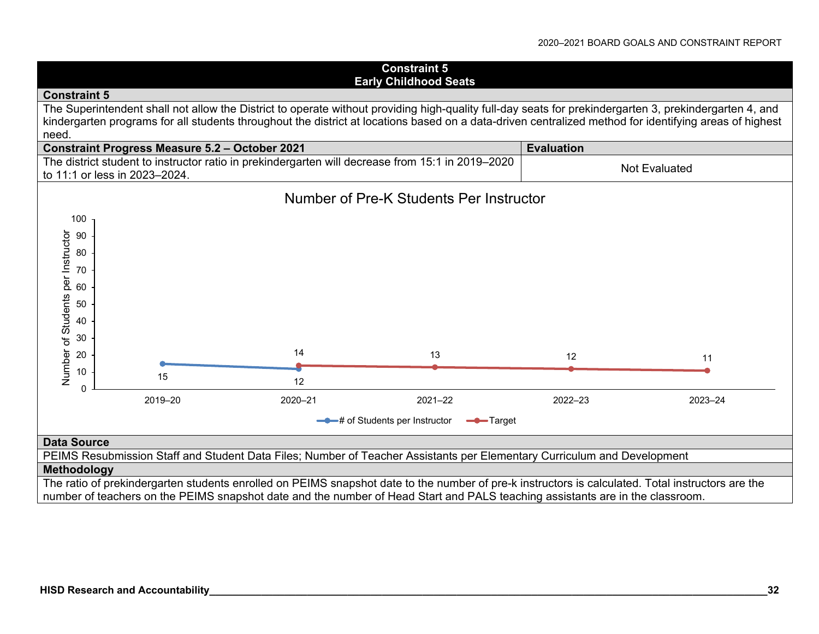#### **Constraint 5 Early Childhood Seats Constraint 5** The Superintendent shall not allow the District to operate without providing high-quality full-day seats for prekindergarten 3, prekindergarten 4, and kindergarten programs for all students throughout the district at locations based on a data-driven centralized method for identifying areas of highest need. **Constraint Progress Measure 5.2 – October 2021 Evaluation <b>Evaluation** The district student to instructor ratio in prekindergarten will decrease from 15:1 in 2019–2020 to 11:1 or less in 2023–2024.<br>to 11:1 or less in 2023–2024. Number of Pre-K Students Per Instructor100Number of Students per Instructor Number of Students per Instructor 9080706050 4030 1420 13 122 11 1015 $\sim$  12  $\Omega$ 2019–20 2020–21 2021–22 2022–23 2023–24**-0** # of Students per Instructor **-0** Target **Data Source** PEIMS Resubmission Staff and Student Data Files; Number of Teacher Assistants per Elementary Curriculum and Development **Methodology** The ratio of prekindergarten students enrolled on PEIMS snapshot date to the number of pre-k instructors is calculated. Total instructors are the

number of teachers on the PEIMS snapshot date and the number of Head Start and PALS teaching assistants are in the classroom.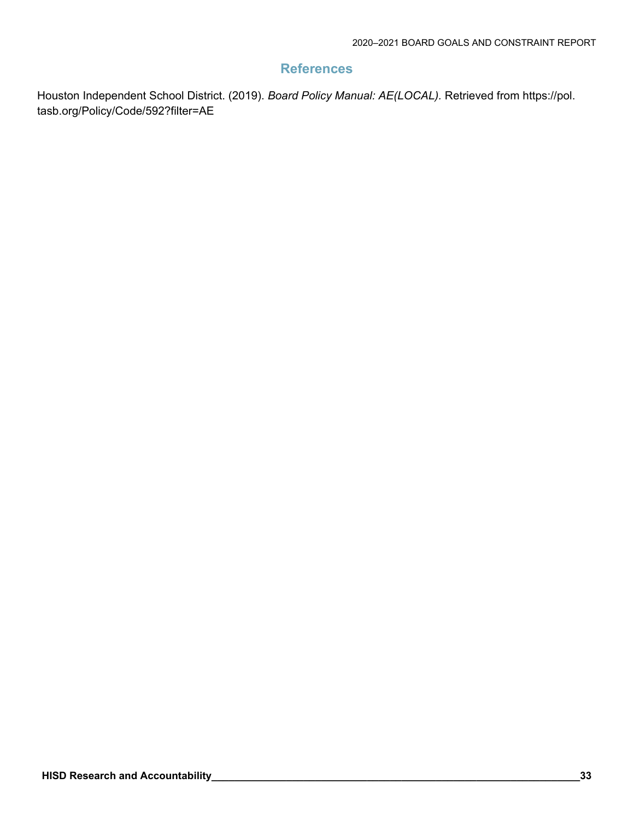# **References**

Houston Independent School District. (2019). *Board Policy Manual: AE(LOCAL).* Retrieved from https://pol. tasb.org/Policy/Code/592?filter=AE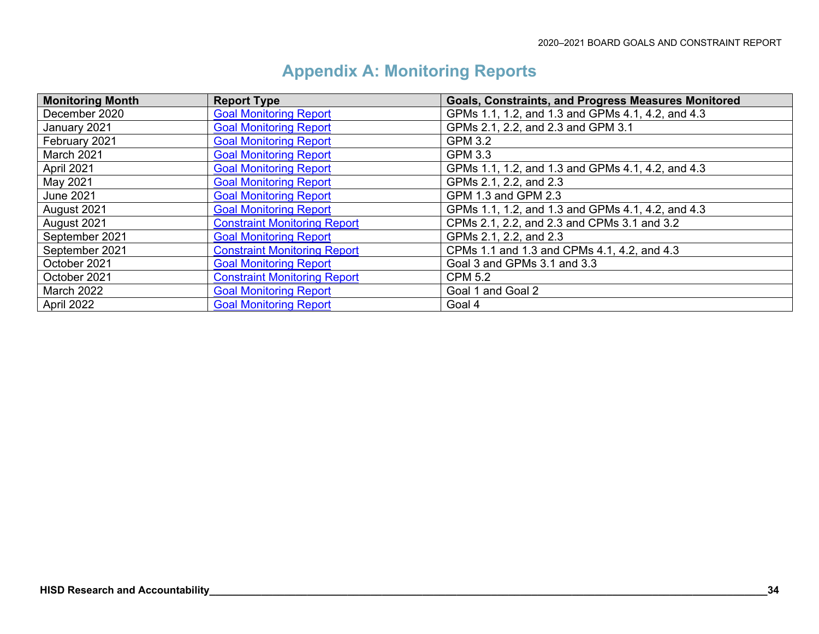| <b>Monitoring Month</b> | <b>Report Type</b>                  | <b>Goals, Constraints, and Progress Measures Monitored</b> |
|-------------------------|-------------------------------------|------------------------------------------------------------|
| December 2020           | <b>Goal Monitoring Report</b>       | GPMs 1.1, 1.2, and 1.3 and GPMs 4.1, 4.2, and 4.3          |
| January 2021            | <b>Goal Monitoring Report</b>       | GPMs 2.1, 2.2, and 2.3 and GPM 3.1                         |
| February 2021           | <b>Goal Monitoring Report</b>       | <b>GPM 3.2</b>                                             |
| March 2021              | <b>Goal Monitoring Report</b>       | <b>GPM 3.3</b>                                             |
| April 2021              | <b>Goal Monitoring Report</b>       | GPMs 1.1, 1.2, and 1.3 and GPMs 4.1, 4.2, and 4.3          |
| May 2021                | <b>Goal Monitoring Report</b>       | GPMs 2.1, 2.2, and 2.3                                     |
| June 2021               | <b>Goal Monitoring Report</b>       | GPM 1.3 and GPM 2.3                                        |
| August 2021             | <b>Goal Monitoring Report</b>       | GPMs 1.1, 1.2, and 1.3 and GPMs 4.1, 4.2, and 4.3          |
| August 2021             | <b>Constraint Monitoring Report</b> | CPMs 2.1, 2.2, and 2.3 and CPMs 3.1 and 3.2                |
| September 2021          | <b>Goal Monitoring Report</b>       | GPMs 2.1, 2.2, and 2.3                                     |
| September 2021          | <b>Constraint Monitoring Report</b> | CPMs 1.1 and 1.3 and CPMs 4.1, 4.2, and 4.3                |
| October 2021            | <b>Goal Monitoring Report</b>       | Goal 3 and GPMs 3.1 and 3.3                                |
| October 2021            | <b>Constraint Monitoring Report</b> | <b>CPM 5.2</b>                                             |
| <b>March 2022</b>       | <b>Goal Monitoring Report</b>       | Goal 1 and Goal 2                                          |
| April 2022              | <b>Goal Monitoring Report</b>       | Goal 4                                                     |

# **Appendix A: Monitoring Reports**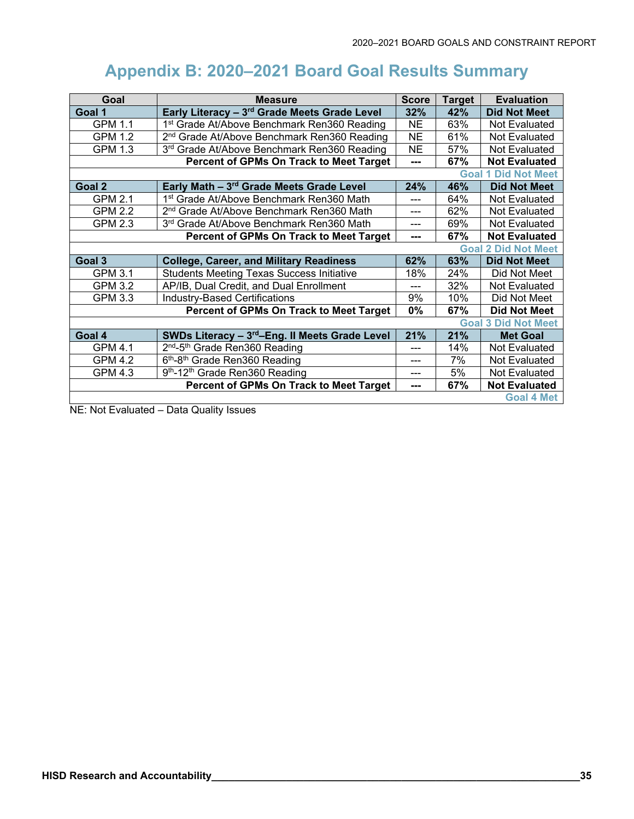# **Appendix B: 2020–2021 Board Goal Results Summary**

| Goal                                           | <b>Measure</b>                                             |           | <b>Target</b> | <b>Evaluation</b>          |
|------------------------------------------------|------------------------------------------------------------|-----------|---------------|----------------------------|
| Goal 1                                         | Early Literacy - 3rd Grade Meets Grade Level               |           | 42%           | <b>Did Not Meet</b>        |
| <b>GPM 1.1</b>                                 | 1st Grade At/Above Benchmark Ren360 Reading                |           | 63%           | Not Evaluated              |
| <b>GPM 1.2</b>                                 | 2 <sup>nd</sup> Grade At/Above Benchmark Ren360 Reading    |           | 61%           | Not Evaluated              |
| <b>GPM 1.3</b>                                 | 3rd Grade At/Above Benchmark Ren360 Reading                | <b>NE</b> | 57%           | Not Evaluated              |
| Percent of GPMs On Track to Meet Target        |                                                            | ---       | 67%           | <b>Not Evaluated</b>       |
|                                                |                                                            |           |               | <b>Goal 1 Did Not Meet</b> |
| Goal 2                                         | Early Math - 3rd Grade Meets Grade Level                   | 24%       | 46%           | <b>Did Not Meet</b>        |
| <b>GPM 2.1</b>                                 | 1 <sup>st</sup> Grade At/Above Benchmark Ren360 Math       |           | 64%           | Not Evaluated              |
| <b>GPM 2.2</b>                                 | 2 <sup>nd</sup> Grade At/Above Benchmark Ren360 Math       |           | 62%           | Not Evaluated              |
| <b>GPM 2.3</b>                                 | 3 <sup>rd</sup> Grade At/Above Benchmark Ren360 Math       | ---       | 69%           | Not Evaluated              |
| <b>Percent of GPMs On Track to Meet Target</b> |                                                            | ---       | 67%           | <b>Not Evaluated</b>       |
|                                                |                                                            |           |               | <b>Goal 2 Did Not Meet</b> |
| Goal <sub>3</sub>                              | <b>College, Career, and Military Readiness</b>             | 62%       | 63%           | <b>Did Not Meet</b>        |
| <b>GPM 3.1</b>                                 | <b>Students Meeting Texas Success Initiative</b>           | 18%       | 24%           | Did Not Meet               |
| <b>GPM 3.2</b>                                 | AP/IB, Dual Credit, and Dual Enrollment                    |           | 32%           | Not Evaluated              |
| <b>GPM 3.3</b>                                 | <b>Industry-Based Certifications</b>                       | 9%        | 10%           | Did Not Meet               |
| Percent of GPMs On Track to Meet Target        |                                                            | 0%        | 67%           | <b>Did Not Meet</b>        |
| <b>Goal 3 Did Not Meet</b>                     |                                                            |           |               |                            |
| Goal 4                                         | SWDs Literacy - 3 <sup>rd</sup> -Eng. II Meets Grade Level | 21%       | 21%           | <b>Met Goal</b>            |
| <b>GPM 4.1</b>                                 | 2 <sup>nd</sup> -5 <sup>th</sup> Grade Ren360 Reading      | ---       | 14%           | Not Evaluated              |
| <b>GPM 4.2</b>                                 | 6th-8th Grade Ren360 Reading                               | ---       | 7%            | Not Evaluated              |
| <b>GPM 4.3</b>                                 | 9th-12th Grade Ren360 Reading                              | ---       | 5%            | Not Evaluated              |
| Percent of GPMs On Track to Meet Target        |                                                            |           | 67%           | <b>Not Evaluated</b>       |
|                                                |                                                            |           |               | <b>Goal 4 Met</b>          |

NE: Not Evaluated – Data Quality Issues